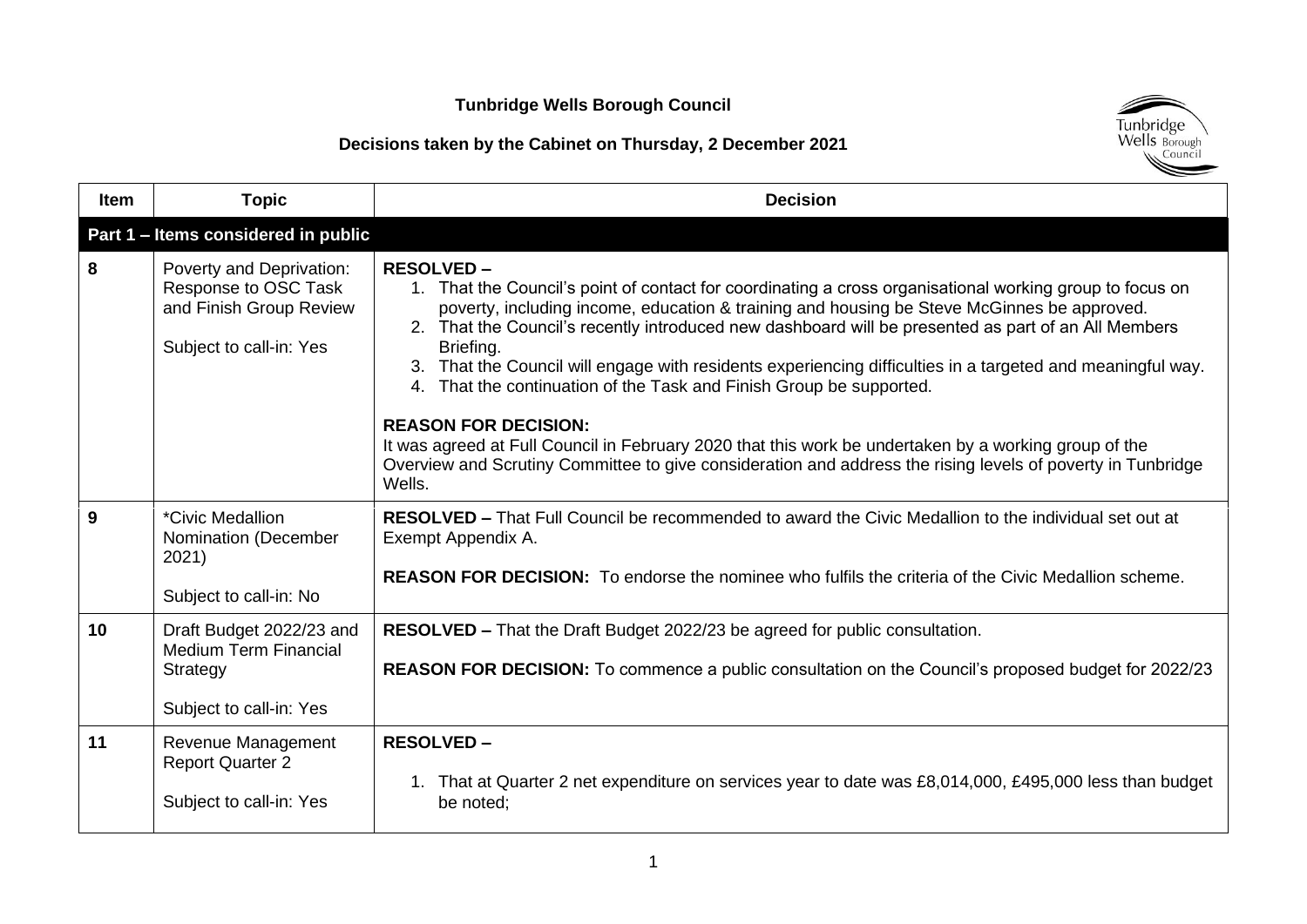

| <b>Item</b> | <b>Topic</b>                                                                                           | <b>Decision</b>                                                                                                                                                                                                                                                                                                                                                                                                                                                                                                                                                                                                                                                                                                                                                                                      |
|-------------|--------------------------------------------------------------------------------------------------------|------------------------------------------------------------------------------------------------------------------------------------------------------------------------------------------------------------------------------------------------------------------------------------------------------------------------------------------------------------------------------------------------------------------------------------------------------------------------------------------------------------------------------------------------------------------------------------------------------------------------------------------------------------------------------------------------------------------------------------------------------------------------------------------------------|
|             | Part 1 - Items considered in public                                                                    |                                                                                                                                                                                                                                                                                                                                                                                                                                                                                                                                                                                                                                                                                                                                                                                                      |
| 8           | Poverty and Deprivation:<br>Response to OSC Task<br>and Finish Group Review<br>Subject to call-in: Yes | <b>RESOLVED-</b><br>1. That the Council's point of contact for coordinating a cross organisational working group to focus on<br>poverty, including income, education & training and housing be Steve McGinnes be approved.<br>2. That the Council's recently introduced new dashboard will be presented as part of an All Members<br>Briefing.<br>3. That the Council will engage with residents experiencing difficulties in a targeted and meaningful way.<br>4. That the continuation of the Task and Finish Group be supported.<br><b>REASON FOR DECISION:</b><br>It was agreed at Full Council in February 2020 that this work be undertaken by a working group of the<br>Overview and Scrutiny Committee to give consideration and address the rising levels of poverty in Tunbridge<br>Wells. |
| 9           | <i>*Civic Medallion</i><br>Nomination (December<br>2021)<br>Subject to call-in: No                     | RESOLVED - That Full Council be recommended to award the Civic Medallion to the individual set out at<br>Exempt Appendix A.<br><b>REASON FOR DECISION:</b> To endorse the nominee who fulfils the criteria of the Civic Medallion scheme.                                                                                                                                                                                                                                                                                                                                                                                                                                                                                                                                                            |
| 10          | Draft Budget 2022/23 and<br><b>Medium Term Financial</b><br>Strategy<br>Subject to call-in: Yes        | RESOLVED - That the Draft Budget 2022/23 be agreed for public consultation.<br><b>REASON FOR DECISION:</b> To commence a public consultation on the Council's proposed budget for 2022/23                                                                                                                                                                                                                                                                                                                                                                                                                                                                                                                                                                                                            |
| 11          | Revenue Management<br><b>Report Quarter 2</b><br>Subject to call-in: Yes                               | <b>RESOLVED-</b><br>1. That at Quarter 2 net expenditure on services year to date was £8,014,000, £495,000 less than budget<br>be noted;                                                                                                                                                                                                                                                                                                                                                                                                                                                                                                                                                                                                                                                             |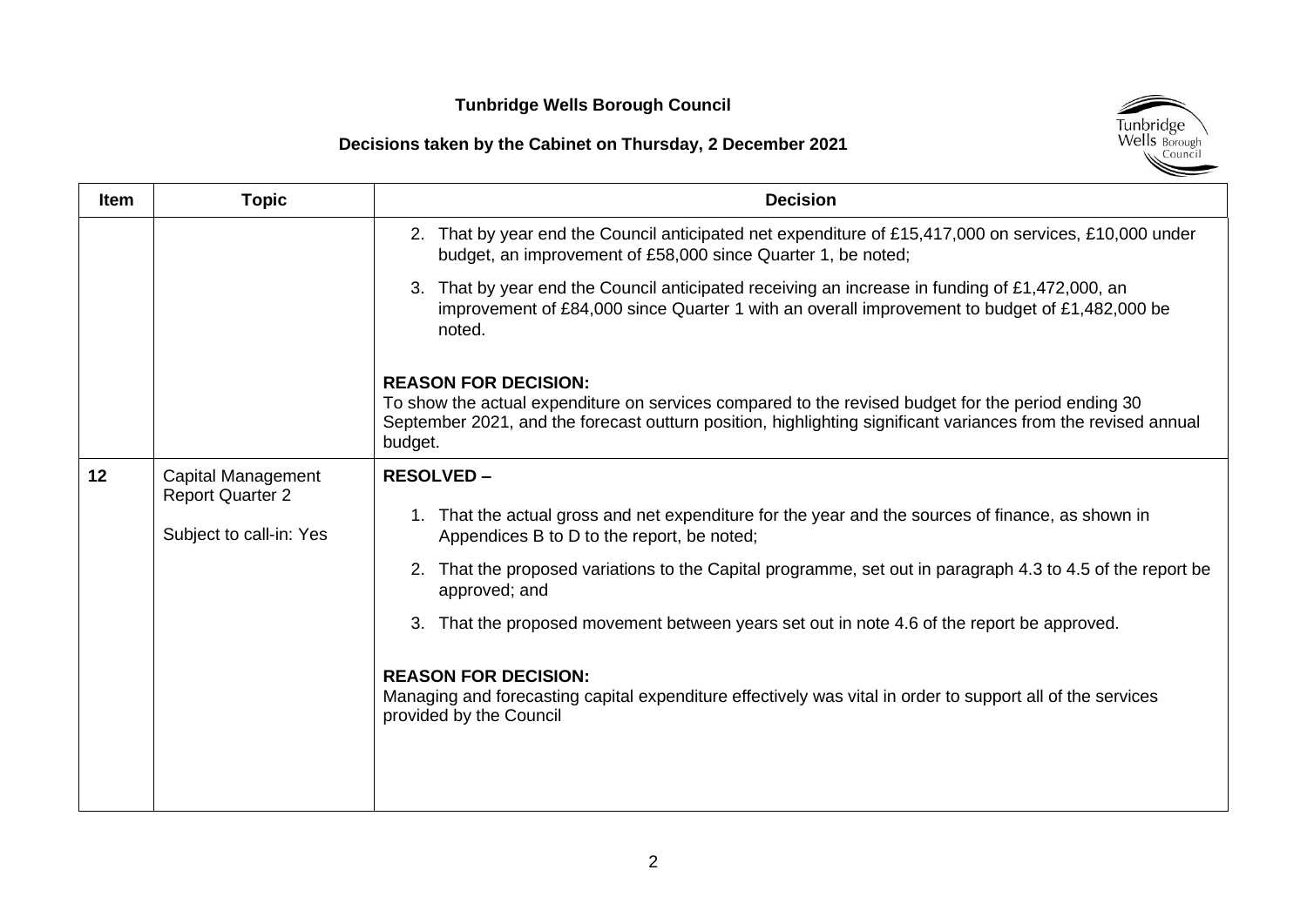

| <b>Item</b> | <b>Topic</b>                                                             | <b>Decision</b>                                                                                                                                                                                                                                                                                                                                                                                                                                                                                                                                                        |
|-------------|--------------------------------------------------------------------------|------------------------------------------------------------------------------------------------------------------------------------------------------------------------------------------------------------------------------------------------------------------------------------------------------------------------------------------------------------------------------------------------------------------------------------------------------------------------------------------------------------------------------------------------------------------------|
|             |                                                                          | 2. That by year end the Council anticipated net expenditure of £15,417,000 on services, £10,000 under<br>budget, an improvement of £58,000 since Quarter 1, be noted;                                                                                                                                                                                                                                                                                                                                                                                                  |
|             |                                                                          | That by year end the Council anticipated receiving an increase in funding of £1,472,000, an<br>improvement of £84,000 since Quarter 1 with an overall improvement to budget of £1,482,000 be<br>noted.                                                                                                                                                                                                                                                                                                                                                                 |
|             |                                                                          | <b>REASON FOR DECISION:</b><br>To show the actual expenditure on services compared to the revised budget for the period ending 30<br>September 2021, and the forecast outturn position, highlighting significant variances from the revised annual<br>budget.                                                                                                                                                                                                                                                                                                          |
| 12          | Capital Management<br><b>Report Quarter 2</b><br>Subject to call-in: Yes | <b>RESOLVED -</b><br>That the actual gross and net expenditure for the year and the sources of finance, as shown in<br>Appendices B to D to the report, be noted;<br>That the proposed variations to the Capital programme, set out in paragraph 4.3 to 4.5 of the report be<br>approved; and<br>That the proposed movement between years set out in note 4.6 of the report be approved.<br>3.<br><b>REASON FOR DECISION:</b><br>Managing and forecasting capital expenditure effectively was vital in order to support all of the services<br>provided by the Council |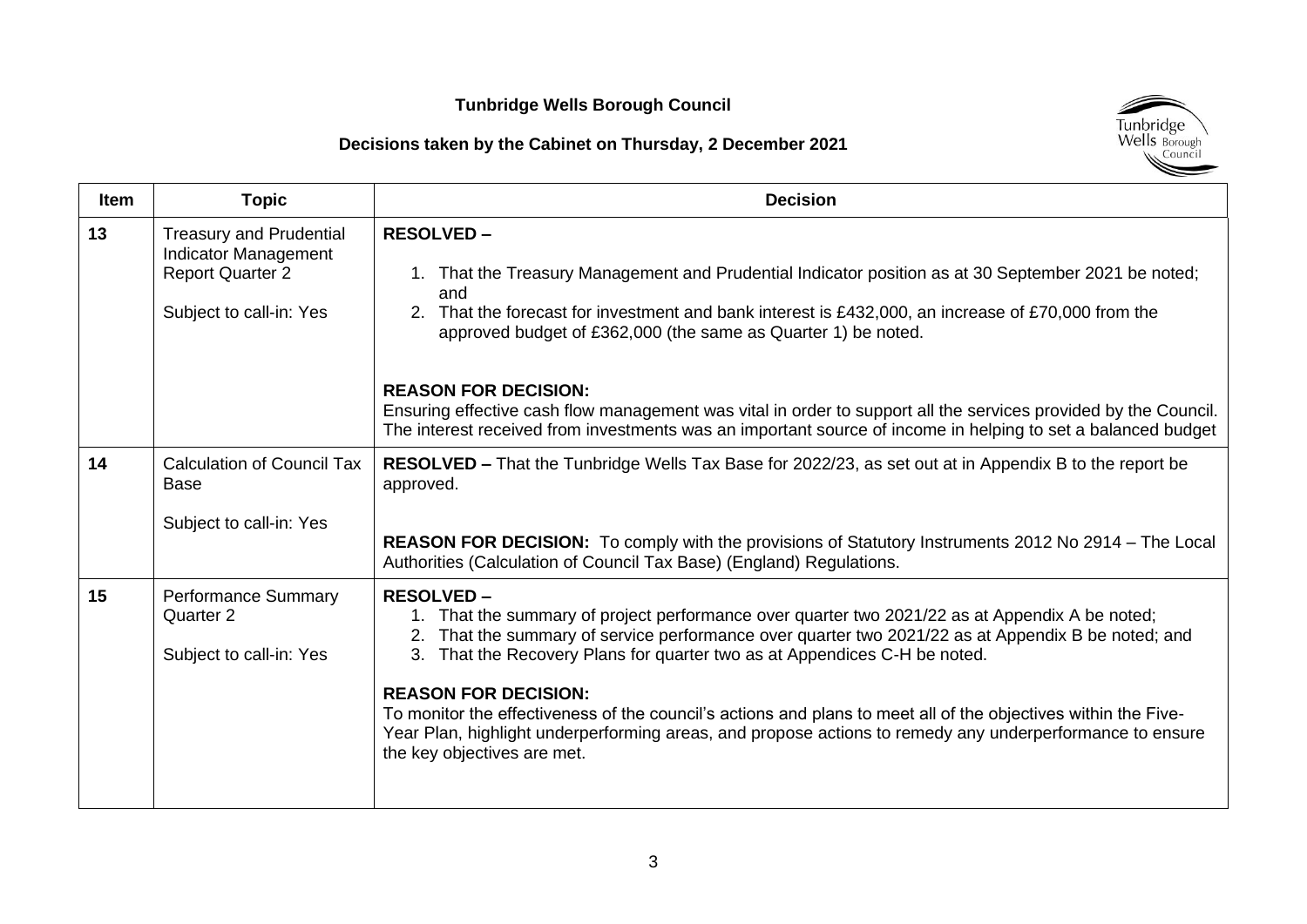

| <b>Item</b> | <b>Topic</b>                                                                                                        | <b>Decision</b>                                                                                                                                                                                                                                                                                                                                                                                                                                                                                                                                                                                         |
|-------------|---------------------------------------------------------------------------------------------------------------------|---------------------------------------------------------------------------------------------------------------------------------------------------------------------------------------------------------------------------------------------------------------------------------------------------------------------------------------------------------------------------------------------------------------------------------------------------------------------------------------------------------------------------------------------------------------------------------------------------------|
| 13          | <b>Treasury and Prudential</b><br><b>Indicator Management</b><br><b>Report Quarter 2</b><br>Subject to call-in: Yes | <b>RESOLVED-</b><br>1. That the Treasury Management and Prudential Indicator position as at 30 September 2021 be noted;<br>and<br>2. That the forecast for investment and bank interest is £432,000, an increase of £70,000 from the<br>approved budget of £362,000 (the same as Quarter 1) be noted.                                                                                                                                                                                                                                                                                                   |
|             |                                                                                                                     | <b>REASON FOR DECISION:</b><br>Ensuring effective cash flow management was vital in order to support all the services provided by the Council.<br>The interest received from investments was an important source of income in helping to set a balanced budget                                                                                                                                                                                                                                                                                                                                          |
| 14          | <b>Calculation of Council Tax</b><br><b>Base</b><br>Subject to call-in: Yes                                         | <b>RESOLVED</b> – That the Tunbridge Wells Tax Base for 2022/23, as set out at in Appendix B to the report be<br>approved.                                                                                                                                                                                                                                                                                                                                                                                                                                                                              |
|             |                                                                                                                     | <b>REASON FOR DECISION:</b> To comply with the provisions of Statutory Instruments 2012 No 2914 – The Local<br>Authorities (Calculation of Council Tax Base) (England) Regulations.                                                                                                                                                                                                                                                                                                                                                                                                                     |
| 15          | <b>Performance Summary</b><br>Quarter 2<br>Subject to call-in: Yes                                                  | <b>RESOLVED-</b><br>1. That the summary of project performance over quarter two 2021/22 as at Appendix A be noted;<br>That the summary of service performance over quarter two 2021/22 as at Appendix B be noted; and<br>2.<br>That the Recovery Plans for quarter two as at Appendices C-H be noted.<br>3.<br><b>REASON FOR DECISION:</b><br>To monitor the effectiveness of the council's actions and plans to meet all of the objectives within the Five-<br>Year Plan, highlight underperforming areas, and propose actions to remedy any underperformance to ensure<br>the key objectives are met. |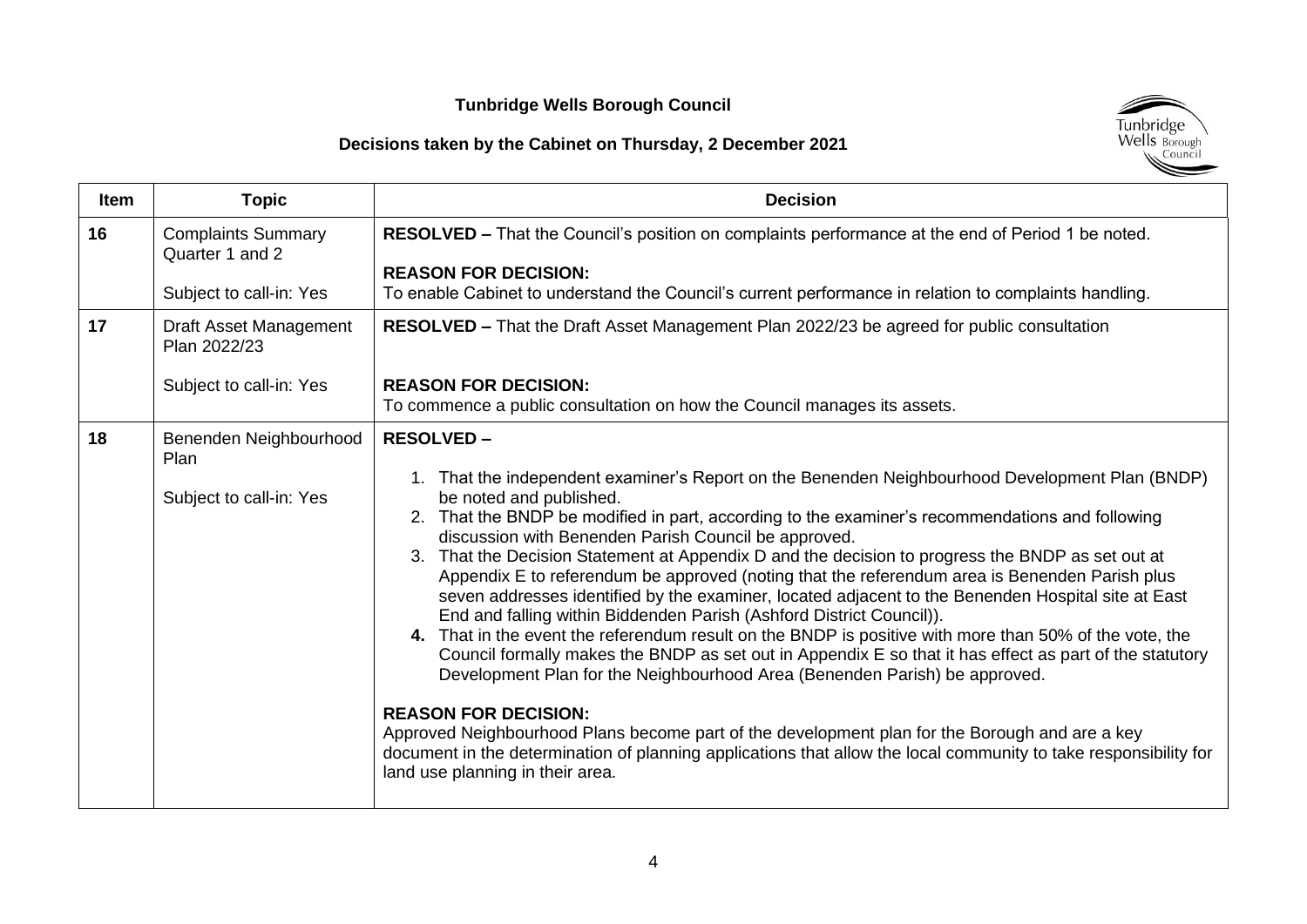

| <b>Item</b> | <b>Topic</b>                                                     | <b>Decision</b>                                                                                                                                                                                                                                                                                                                                                                                                                                                                                                                                                                                                                                                                                                                                                                                                                                                                                                                                                                                                                                                                                                                                                                                                                                                                                |
|-------------|------------------------------------------------------------------|------------------------------------------------------------------------------------------------------------------------------------------------------------------------------------------------------------------------------------------------------------------------------------------------------------------------------------------------------------------------------------------------------------------------------------------------------------------------------------------------------------------------------------------------------------------------------------------------------------------------------------------------------------------------------------------------------------------------------------------------------------------------------------------------------------------------------------------------------------------------------------------------------------------------------------------------------------------------------------------------------------------------------------------------------------------------------------------------------------------------------------------------------------------------------------------------------------------------------------------------------------------------------------------------|
| 16          | <b>Complaints Summary</b><br>Quarter 1 and 2                     | RESOLVED - That the Council's position on complaints performance at the end of Period 1 be noted.                                                                                                                                                                                                                                                                                                                                                                                                                                                                                                                                                                                                                                                                                                                                                                                                                                                                                                                                                                                                                                                                                                                                                                                              |
|             | Subject to call-in: Yes                                          | <b>REASON FOR DECISION:</b><br>To enable Cabinet to understand the Council's current performance in relation to complaints handling.                                                                                                                                                                                                                                                                                                                                                                                                                                                                                                                                                                                                                                                                                                                                                                                                                                                                                                                                                                                                                                                                                                                                                           |
| 17          | Draft Asset Management<br>Plan 2022/23                           | <b>RESOLVED – That the Draft Asset Management Plan 2022/23 be agreed for public consultation</b>                                                                                                                                                                                                                                                                                                                                                                                                                                                                                                                                                                                                                                                                                                                                                                                                                                                                                                                                                                                                                                                                                                                                                                                               |
|             | Subject to call-in: Yes                                          | <b>REASON FOR DECISION:</b><br>To commence a public consultation on how the Council manages its assets.                                                                                                                                                                                                                                                                                                                                                                                                                                                                                                                                                                                                                                                                                                                                                                                                                                                                                                                                                                                                                                                                                                                                                                                        |
| 18          | Benenden Neighbourhood<br><b>Plan</b><br>Subject to call-in: Yes | <b>RESOLVED-</b><br>1. That the independent examiner's Report on the Benenden Neighbourhood Development Plan (BNDP)<br>be noted and published.<br>2. That the BNDP be modified in part, according to the examiner's recommendations and following<br>discussion with Benenden Parish Council be approved.<br>That the Decision Statement at Appendix D and the decision to progress the BNDP as set out at<br>3.<br>Appendix E to referendum be approved (noting that the referendum area is Benenden Parish plus<br>seven addresses identified by the examiner, located adjacent to the Benenden Hospital site at East<br>End and falling within Biddenden Parish (Ashford District Council)).<br>That in the event the referendum result on the BNDP is positive with more than 50% of the vote, the<br>4.<br>Council formally makes the BNDP as set out in Appendix E so that it has effect as part of the statutory<br>Development Plan for the Neighbourhood Area (Benenden Parish) be approved.<br><b>REASON FOR DECISION:</b><br>Approved Neighbourhood Plans become part of the development plan for the Borough and are a key<br>document in the determination of planning applications that allow the local community to take responsibility for<br>land use planning in their area. |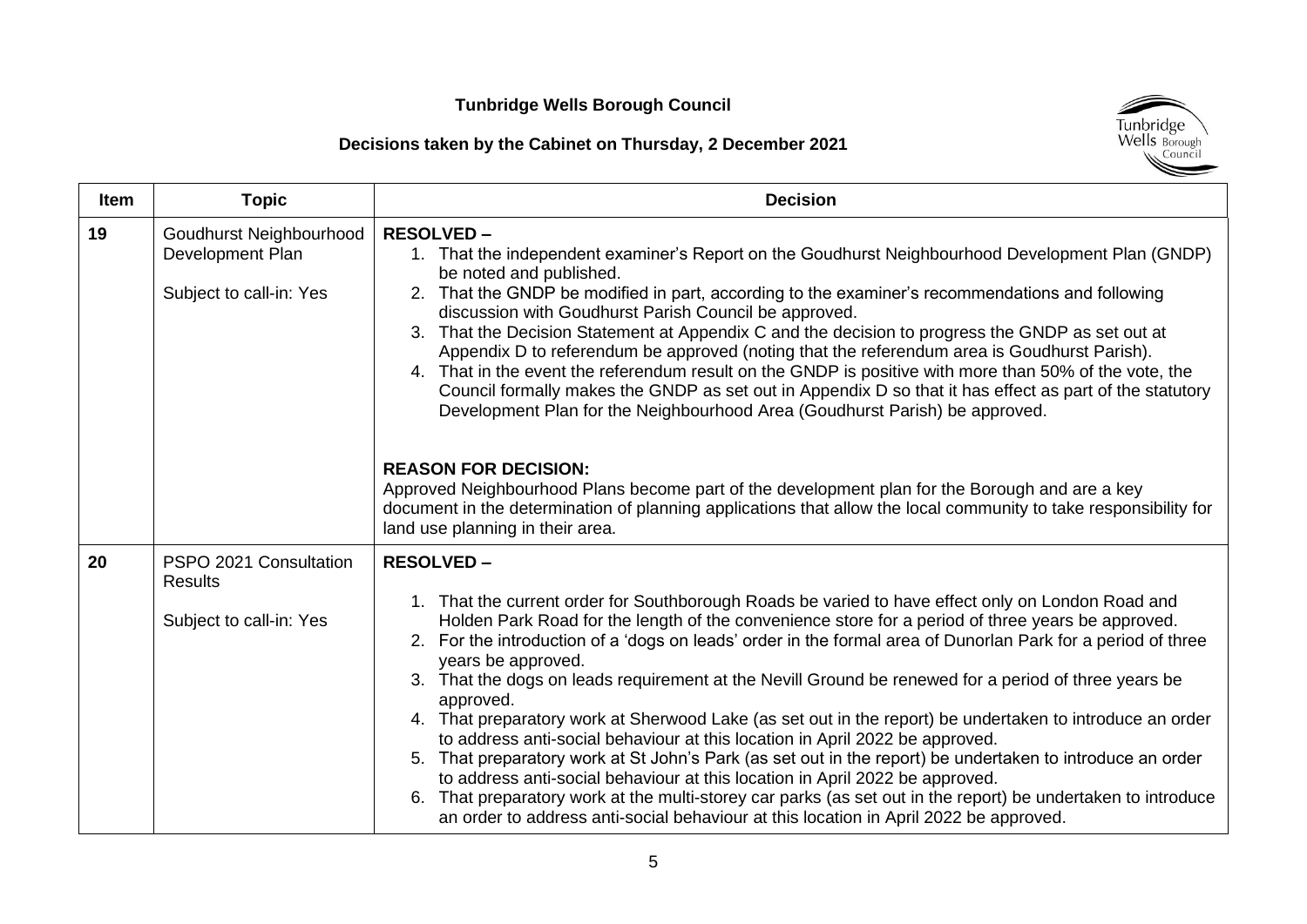

| <b>Item</b> | <b>Topic</b>                                                           | <b>Decision</b>                                                                                                                                                                                                                                                                                                                                                                                                                                                                                                                                                                                                                                                                                                                                                                                                                                                                                                                                                                                                                                                                               |
|-------------|------------------------------------------------------------------------|-----------------------------------------------------------------------------------------------------------------------------------------------------------------------------------------------------------------------------------------------------------------------------------------------------------------------------------------------------------------------------------------------------------------------------------------------------------------------------------------------------------------------------------------------------------------------------------------------------------------------------------------------------------------------------------------------------------------------------------------------------------------------------------------------------------------------------------------------------------------------------------------------------------------------------------------------------------------------------------------------------------------------------------------------------------------------------------------------|
| 19          | Goudhurst Neighbourhood<br>Development Plan<br>Subject to call-in: Yes | <b>RESOLVED-</b><br>1. That the independent examiner's Report on the Goudhurst Neighbourhood Development Plan (GNDP)<br>be noted and published.<br>2. That the GNDP be modified in part, according to the examiner's recommendations and following<br>discussion with Goudhurst Parish Council be approved.<br>That the Decision Statement at Appendix C and the decision to progress the GNDP as set out at<br>3.<br>Appendix D to referendum be approved (noting that the referendum area is Goudhurst Parish).<br>4. That in the event the referendum result on the GNDP is positive with more than 50% of the vote, the<br>Council formally makes the GNDP as set out in Appendix D so that it has effect as part of the statutory<br>Development Plan for the Neighbourhood Area (Goudhurst Parish) be approved.                                                                                                                                                                                                                                                                         |
|             |                                                                        | <b>REASON FOR DECISION:</b><br>Approved Neighbourhood Plans become part of the development plan for the Borough and are a key<br>document in the determination of planning applications that allow the local community to take responsibility for<br>land use planning in their area.                                                                                                                                                                                                                                                                                                                                                                                                                                                                                                                                                                                                                                                                                                                                                                                                         |
| 20          | PSPO 2021 Consultation<br><b>Results</b><br>Subject to call-in: Yes    | <b>RESOLVED-</b><br>That the current order for Southborough Roads be varied to have effect only on London Road and<br>Holden Park Road for the length of the convenience store for a period of three years be approved.<br>2. For the introduction of a 'dogs on leads' order in the formal area of Dunorlan Park for a period of three<br>years be approved.<br>That the dogs on leads requirement at the Nevill Ground be renewed for a period of three years be<br>3.<br>approved.<br>4. That preparatory work at Sherwood Lake (as set out in the report) be undertaken to introduce an order<br>to address anti-social behaviour at this location in April 2022 be approved.<br>That preparatory work at St John's Park (as set out in the report) be undertaken to introduce an order<br>5.<br>to address anti-social behaviour at this location in April 2022 be approved.<br>That preparatory work at the multi-storey car parks (as set out in the report) be undertaken to introduce<br>6.<br>an order to address anti-social behaviour at this location in April 2022 be approved. |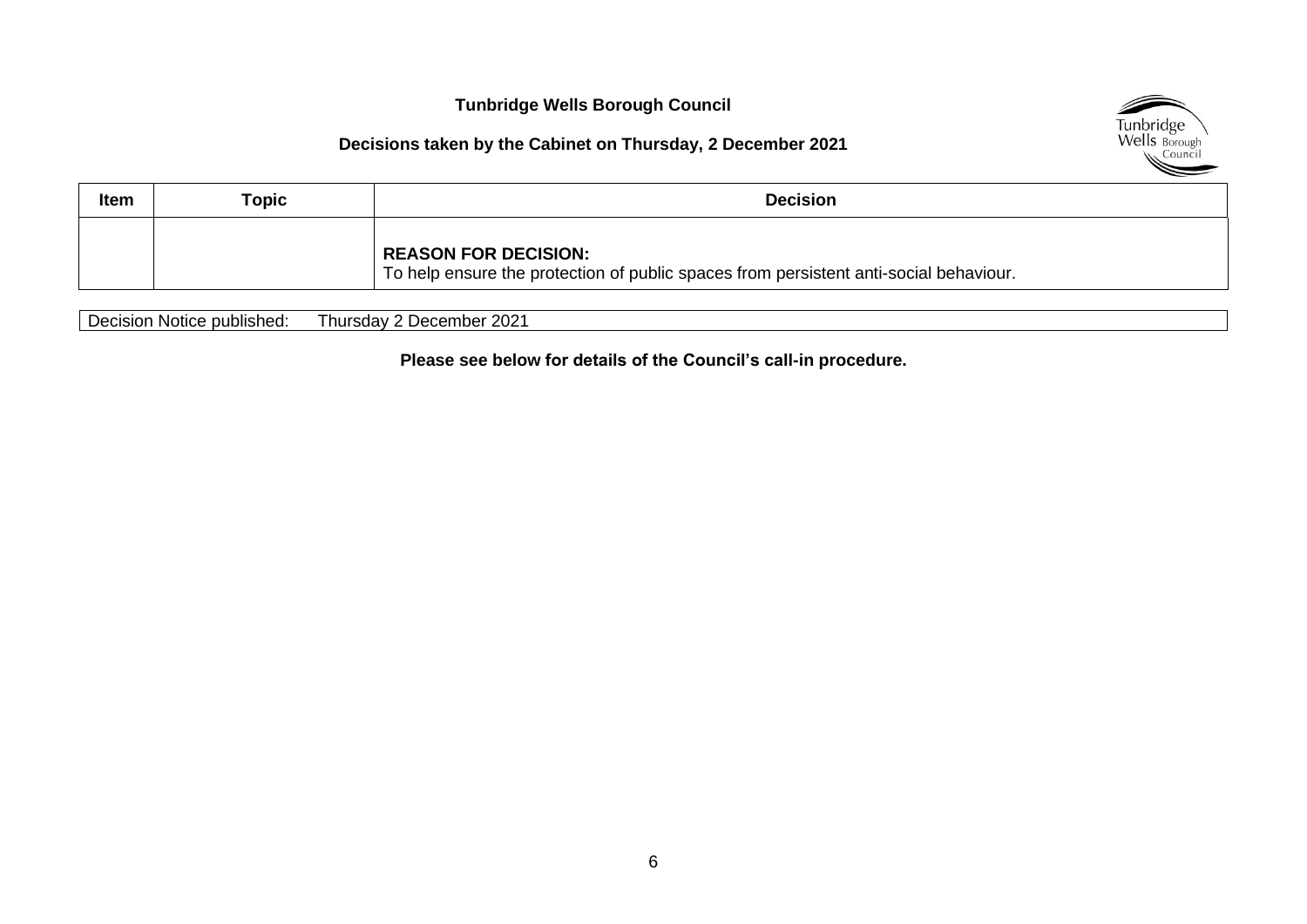#### **Decisions taken by the Cabinet on Thursday, 2 December 2021**



| Item | Topic | <b>Decision</b>                                                                                                      |
|------|-------|----------------------------------------------------------------------------------------------------------------------|
|      |       | <b>REASON FOR DECISION:</b><br>To help ensure the protection of public spaces from persistent anti-social behaviour. |

Decision Notice published: Thursday 2 December 2021

**Please see below for details of the Council's call-in procedure.**